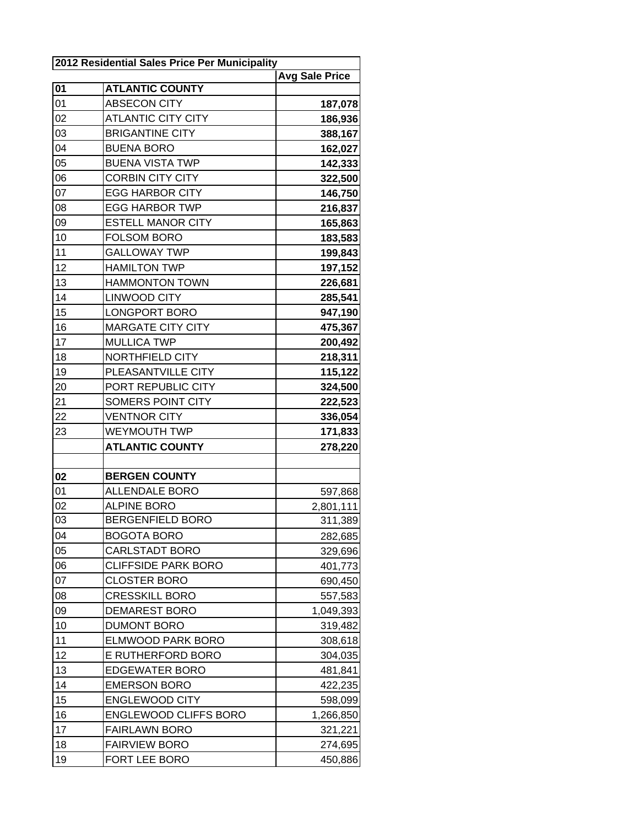| 2012 Residential Sales Price Per Municipality |                              |                       |  |
|-----------------------------------------------|------------------------------|-----------------------|--|
|                                               |                              | <b>Avg Sale Price</b> |  |
| $\overline{01}$                               | <b>ATLANTIC COUNTY</b>       |                       |  |
| 01                                            | ABSECON CITY                 | 187,078               |  |
| 02                                            | <b>ATLANTIC CITY CITY</b>    | 186,936               |  |
| 03                                            | <b>BRIGANTINE CITY</b>       | 388,167               |  |
| 04                                            | <b>BUENA BORO</b>            | 162,027               |  |
| 05                                            | <b>BUENA VISTA TWP</b>       | 142,333               |  |
| 06                                            | <b>CORBIN CITY CITY</b>      | 322,500               |  |
| 07                                            | <b>EGG HARBOR CITY</b>       | 146,750               |  |
| 08                                            | <b>EGG HARBOR TWP</b>        | 216,837               |  |
| 09                                            | <b>ESTELL MANOR CITY</b>     | 165,863               |  |
| 10                                            | <b>FOLSOM BORO</b>           | 183,583               |  |
| 11                                            | <b>GALLOWAY TWP</b>          | 199,843               |  |
| 12                                            | <b>HAMILTON TWP</b>          | 197,152               |  |
| 13                                            | <b>HAMMONTON TOWN</b>        | 226,681               |  |
| 14                                            | <b>LINWOOD CITY</b>          | 285,541               |  |
| 15                                            | <b>LONGPORT BORO</b>         | 947,190               |  |
| 16                                            | <b>MARGATE CITY CITY</b>     | 475,367               |  |
| 17                                            | <b>MULLICA TWP</b>           | 200,492               |  |
| 18                                            | NORTHFIELD CITY              | 218,311               |  |
| 19                                            | PLEASANTVILLE CITY           | 115,122               |  |
| 20                                            | PORT REPUBLIC CITY           | 324,500               |  |
| 21                                            | SOMERS POINT CITY            | 222,523               |  |
| 22                                            | <b>VENTNOR CITY</b>          | 336,054               |  |
| 23                                            | <b>WEYMOUTH TWP</b>          | 171,833               |  |
|                                               | <b>ATLANTIC COUNTY</b>       | 278,220               |  |
|                                               |                              |                       |  |
| 02                                            | <b>BERGEN COUNTY</b>         |                       |  |
| 01                                            | <b>ALLENDALE BORO</b>        | 597,868               |  |
| 02                                            | <b>ALPINE BORO</b>           | 2,801,111             |  |
| 03                                            | <b>BERGENFIELD BORO</b>      | 311,389               |  |
| 04                                            | <b>BOGOTA BORO</b>           | 282,685               |  |
| 05                                            | <b>CARLSTADT BORO</b>        | 329,696               |  |
| 06                                            | <b>CLIFFSIDE PARK BORO</b>   | 401,773               |  |
| 07                                            | <b>CLOSTER BORO</b>          | 690,450               |  |
| 08                                            | <b>CRESSKILL BORO</b>        | 557,583               |  |
| 09                                            | <b>DEMAREST BORO</b>         | 1,049,393             |  |
| 10                                            | <b>DUMONT BORO</b>           | 319,482               |  |
| 11                                            | <b>ELMWOOD PARK BORO</b>     | 308,618               |  |
| 12                                            | E RUTHERFORD BORO            | 304,035               |  |
| 13                                            | <b>EDGEWATER BORO</b>        | 481,841               |  |
| 14                                            | <b>EMERSON BORO</b>          |                       |  |
| 15                                            | <b>ENGLEWOOD CITY</b>        | 422,235               |  |
| 16                                            |                              | 598,099               |  |
|                                               | <b>ENGLEWOOD CLIFFS BORO</b> | 1,266,850             |  |
| 17                                            | <b>FAIRLAWN BORO</b>         | 321,221               |  |
| 18                                            | <b>FAIRVIEW BORO</b>         | 274,695               |  |
| 19                                            | FORT LEE BORO                | 450,886               |  |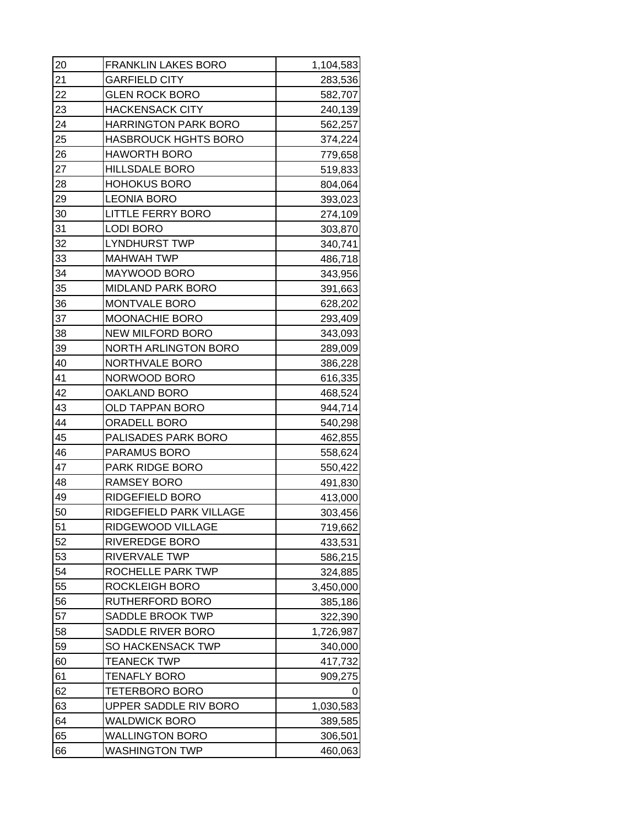| 20 | <b>FRANKLIN LAKES BORO</b>  | 1,104,583 |
|----|-----------------------------|-----------|
| 21 | <b>GARFIELD CITY</b>        | 283,536   |
| 22 | <b>GLEN ROCK BORO</b>       | 582,707   |
| 23 | <b>HACKENSACK CITY</b>      | 240,139   |
| 24 | <b>HARRINGTON PARK BORO</b> | 562,257   |
| 25 | <b>HASBROUCK HGHTS BORO</b> | 374,224   |
| 26 | <b>HAWORTH BORO</b>         | 779,658   |
| 27 | <b>HILLSDALE BORO</b>       | 519,833   |
| 28 | <b>HOHOKUS BORO</b>         | 804,064   |
| 29 | <b>LEONIA BORO</b>          | 393,023   |
| 30 | <b>LITTLE FERRY BORO</b>    | 274,109   |
| 31 | <b>LODI BORO</b>            | 303,870   |
| 32 | <b>LYNDHURST TWP</b>        | 340,741   |
| 33 | <b>MAHWAH TWP</b>           | 486,718   |
| 34 | MAYWOOD BORO                | 343,956   |
| 35 | <b>MIDLAND PARK BORO</b>    | 391,663   |
| 36 | MONTVALE BORO               | 628,202   |
| 37 | MOONACHIE BORO              | 293,409   |
| 38 | <b>NEW MILFORD BORO</b>     | 343,093   |
| 39 | <b>NORTH ARLINGTON BORO</b> | 289,009   |
| 40 | NORTHVALE BORO              | 386,228   |
| 41 | NORWOOD BORO                | 616,335   |
| 42 | OAKLAND BORO                | 468,524   |
| 43 | OLD TAPPAN BORO             | 944,714   |
| 44 | <b>ORADELL BORO</b>         | 540,298   |
| 45 | PALISADES PARK BORO         | 462,855   |
| 46 | PARAMUS BORO                | 558,624   |
| 47 | PARK RIDGE BORO             | 550,422   |
| 48 | <b>RAMSEY BORO</b>          | 491,830   |
| 49 | RIDGEFIELD BORO             | 413,000   |
| 50 | RIDGEFIELD PARK VILLAGE     | 303,456   |
| 51 | RIDGEWOOD VILLAGE           | 719,662   |
| 52 | RIVEREDGE BORO              | 433,531   |
| 53 | RIVERVALE TWP               | 586,215   |
| 54 | ROCHELLE PARK TWP           | 324,885   |
| 55 | ROCKLEIGH BORO              | 3,450,000 |
| 56 | RUTHERFORD BORO             | 385,186   |
| 57 | <b>SADDLE BROOK TWP</b>     | 322,390   |
| 58 | SADDLE RIVER BORO           | 1,726,987 |
| 59 | SO HACKENSACK TWP           | 340,000   |
| 60 | TEANECK TWP                 | 417,732   |
| 61 | <b>TENAFLY BORO</b>         | 909,275   |
| 62 | TETERBORO BORO              | O         |
| 63 | UPPER SADDLE RIV BORO       | 1,030,583 |
| 64 | <b>WALDWICK BORO</b>        | 389,585   |
| 65 | WALLINGTON BORO             | 306,501   |
| 66 | <b>WASHINGTON TWP</b>       | 460,063   |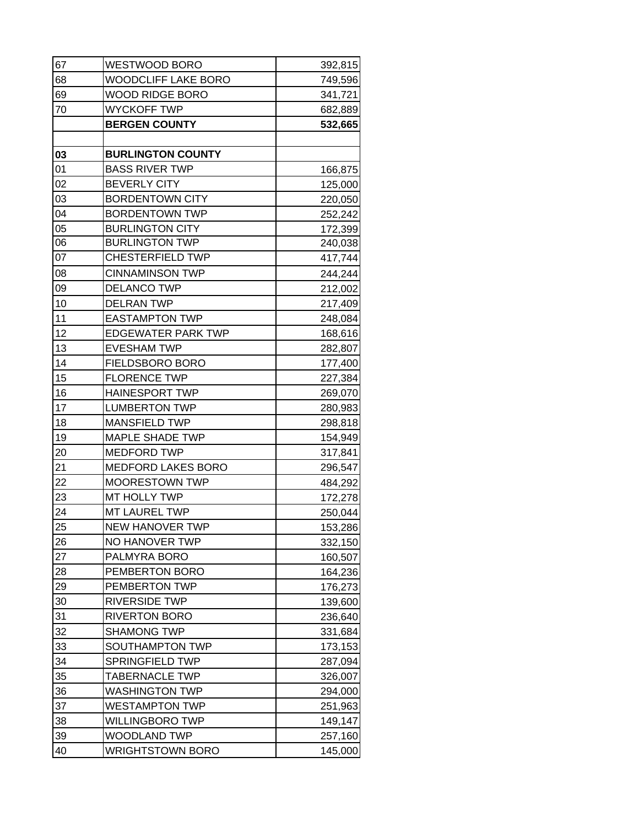| 67              | WESTWOOD BORO              | 392,815 |
|-----------------|----------------------------|---------|
| 68              | <b>WOODCLIFF LAKE BORO</b> | 749,596 |
| 69              | WOOD RIDGE BORO            | 341,721 |
| 70              | <b>WYCKOFF TWP</b>         | 682,889 |
|                 | <b>BERGEN COUNTY</b>       | 532,665 |
|                 |                            |         |
| 03              | <b>BURLINGTON COUNTY</b>   |         |
| 01              | <b>BASS RIVER TWP</b>      | 166,875 |
| 02              | <b>BEVERLY CITY</b>        | 125,000 |
| 03              | <b>BORDENTOWN CITY</b>     | 220,050 |
| 04              | <b>BORDENTOWN TWP</b>      | 252,242 |
| 05              | <b>BURLINGTON CITY</b>     | 172,399 |
| 06              | <b>BURLINGTON TWP</b>      | 240,038 |
| $\overline{07}$ | <b>CHESTERFIELD TWP</b>    | 417,744 |
| 08              | <b>CINNAMINSON TWP</b>     | 244,244 |
| 09              | <b>DELANCO TWP</b>         | 212,002 |
| 10              | <b>DELRAN TWP</b>          | 217,409 |
| 11              | <b>EASTAMPTON TWP</b>      | 248,084 |
| 12              | <b>EDGEWATER PARK TWP</b>  | 168,616 |
| 13              | <b>EVESHAM TWP</b>         | 282,807 |
| 14              | FIELDSBORO BORO            | 177,400 |
| 15              | <b>FLORENCE TWP</b>        | 227,384 |
| 16              | <b>HAINESPORT TWP</b>      | 269,070 |
| 17              | <b>LUMBERTON TWP</b>       | 280,983 |
| 18              | <b>MANSFIELD TWP</b>       | 298,818 |
| 19              | <b>MAPLE SHADE TWP</b>     | 154,949 |
| 20              | <b>MEDFORD TWP</b>         | 317,841 |
| 21              | <b>MEDFORD LAKES BORO</b>  | 296,547 |
| 22              | MOORESTOWN TWP             | 484,292 |
| 23              | MT HOLLY TWP               | 172,278 |
| 24              | MT LAUREL TWP              | 250,044 |
| 25              | NEW HANOVER TWP            | 153,286 |
| 26              | NO HANOVER TWP             | 332,150 |
| 27              | PALMYRA BORO               | 160,507 |
| 28              | PEMBERTON BORO             | 164,236 |
| 29              | PEMBERTON TWP              | 176,273 |
| 30              | <b>RIVERSIDE TWP</b>       | 139,600 |
| 31              | <b>RIVERTON BORO</b>       | 236,640 |
| 32              | <b>SHAMONG TWP</b>         | 331,684 |
| 33              | SOUTHAMPTON TWP            | 173,153 |
| 34              | SPRINGFIELD TWP            | 287,094 |
| 35              | <b>TABERNACLE TWP</b>      | 326,007 |
| 36              | WASHINGTON TWP             | 294,000 |
| 37              | <b>WESTAMPTON TWP</b>      | 251,963 |
| 38              | WILLINGBORO TWP            | 149,147 |
| 39              | WOODLAND TWP               | 257,160 |
| 40              | <b>WRIGHTSTOWN BORO</b>    | 145,000 |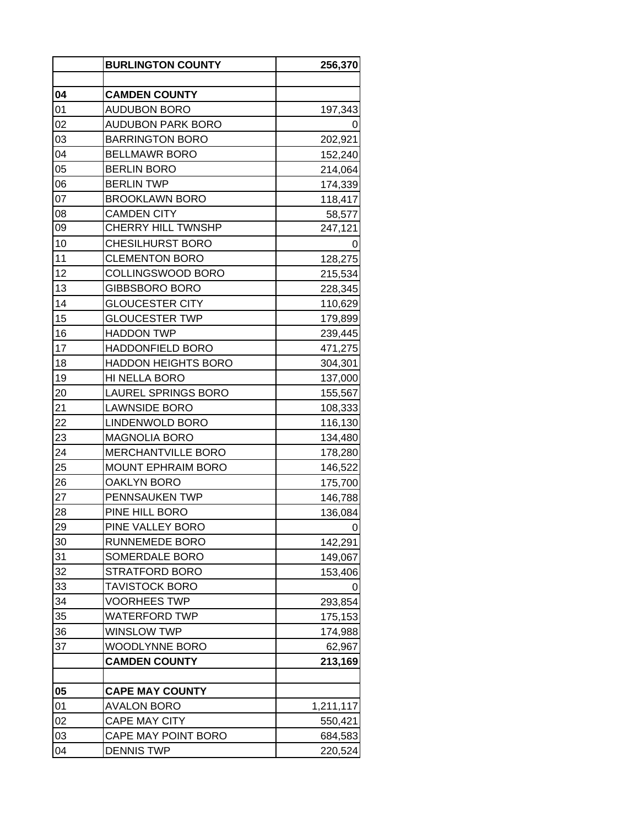| 04<br><b>CAMDEN COUNTY</b><br>01<br><b>AUDUBON BORO</b><br>197,343<br>02<br><b>AUDUBON PARK BORO</b><br>0<br>03<br><b>BARRINGTON BORO</b><br>202,921<br>04<br><b>BELLMAWR BORO</b><br>152,240<br>05<br><b>BERLIN BORO</b><br>214,064<br>06<br><b>BERLIN TWP</b><br>174,339<br>07<br><b>BROOKLAWN BORO</b><br>118,417<br>08<br><b>CAMDEN CITY</b><br>58,577<br>09<br><b>CHERRY HILL TWNSHP</b><br>247,121<br>10<br><b>CHESILHURST BORO</b><br>11<br><b>CLEMENTON BORO</b><br>128,275<br>12<br>COLLINGSWOOD BORO<br>215,534<br>13<br><b>GIBBSBORO BORO</b><br>228,345<br>14<br><b>GLOUCESTER CITY</b><br>110,629<br>15<br><b>GLOUCESTER TWP</b><br>179,899<br>16<br><b>HADDON TWP</b><br>239,445<br>17<br><b>HADDONFIELD BORO</b><br>471,275<br>18<br><b>HADDON HEIGHTS BORO</b><br>304,301<br>19<br>HI NELLA BORO<br>137,000<br>20<br><b>LAUREL SPRINGS BORO</b><br>155,567<br>21<br><b>LAWNSIDE BORO</b><br>108,333<br>22<br>LINDENWOLD BORO<br>116,130<br>23<br><b>MAGNOLIA BORO</b><br>134,480<br>24<br>MERCHANTVILLE BORO<br>178,280<br>25<br><b>MOUNT EPHRAIM BORO</b><br>146,522<br>26<br><b>OAKLYN BORO</b><br>175,700<br>27<br>PENNSAUKEN TWP<br>146,788<br>28<br>PINE HILL BORO<br>136,084<br>29<br>PINE VALLEY BORO<br>30<br>RUNNEMEDE BORO<br>142,291<br>31<br>SOMERDALE BORO<br>149,067<br>32<br>STRATFORD BORO<br>153,406<br>33<br><b>TAVISTOCK BORO</b><br>34<br><b>VOORHEES TWP</b><br>293,854<br>35<br>WATERFORD TWP<br>175,153<br>36<br><b>WINSLOW TWP</b><br>174,988<br>37<br>WOODLYNNE BORO<br>62,967<br><b>CAMDEN COUNTY</b><br>213,169<br>05<br><b>CAPE MAY COUNTY</b><br>01<br>AVALON BORO<br>1,211,117<br>02<br><b>CAPE MAY CITY</b><br>550,421<br>03<br>CAPE MAY POINT BORO<br>684,583<br>04<br><b>DENNIS TWP</b><br>220,524 | <b>BURLINGTON COUNTY</b> | 256,370 |
|-----------------------------------------------------------------------------------------------------------------------------------------------------------------------------------------------------------------------------------------------------------------------------------------------------------------------------------------------------------------------------------------------------------------------------------------------------------------------------------------------------------------------------------------------------------------------------------------------------------------------------------------------------------------------------------------------------------------------------------------------------------------------------------------------------------------------------------------------------------------------------------------------------------------------------------------------------------------------------------------------------------------------------------------------------------------------------------------------------------------------------------------------------------------------------------------------------------------------------------------------------------------------------------------------------------------------------------------------------------------------------------------------------------------------------------------------------------------------------------------------------------------------------------------------------------------------------------------------------------------------------------------------------------------------------------------------------------------------------------------------------|--------------------------|---------|
|                                                                                                                                                                                                                                                                                                                                                                                                                                                                                                                                                                                                                                                                                                                                                                                                                                                                                                                                                                                                                                                                                                                                                                                                                                                                                                                                                                                                                                                                                                                                                                                                                                                                                                                                                     |                          |         |
|                                                                                                                                                                                                                                                                                                                                                                                                                                                                                                                                                                                                                                                                                                                                                                                                                                                                                                                                                                                                                                                                                                                                                                                                                                                                                                                                                                                                                                                                                                                                                                                                                                                                                                                                                     |                          |         |
|                                                                                                                                                                                                                                                                                                                                                                                                                                                                                                                                                                                                                                                                                                                                                                                                                                                                                                                                                                                                                                                                                                                                                                                                                                                                                                                                                                                                                                                                                                                                                                                                                                                                                                                                                     |                          |         |
|                                                                                                                                                                                                                                                                                                                                                                                                                                                                                                                                                                                                                                                                                                                                                                                                                                                                                                                                                                                                                                                                                                                                                                                                                                                                                                                                                                                                                                                                                                                                                                                                                                                                                                                                                     |                          |         |
|                                                                                                                                                                                                                                                                                                                                                                                                                                                                                                                                                                                                                                                                                                                                                                                                                                                                                                                                                                                                                                                                                                                                                                                                                                                                                                                                                                                                                                                                                                                                                                                                                                                                                                                                                     |                          |         |
|                                                                                                                                                                                                                                                                                                                                                                                                                                                                                                                                                                                                                                                                                                                                                                                                                                                                                                                                                                                                                                                                                                                                                                                                                                                                                                                                                                                                                                                                                                                                                                                                                                                                                                                                                     |                          |         |
|                                                                                                                                                                                                                                                                                                                                                                                                                                                                                                                                                                                                                                                                                                                                                                                                                                                                                                                                                                                                                                                                                                                                                                                                                                                                                                                                                                                                                                                                                                                                                                                                                                                                                                                                                     |                          |         |
|                                                                                                                                                                                                                                                                                                                                                                                                                                                                                                                                                                                                                                                                                                                                                                                                                                                                                                                                                                                                                                                                                                                                                                                                                                                                                                                                                                                                                                                                                                                                                                                                                                                                                                                                                     |                          |         |
|                                                                                                                                                                                                                                                                                                                                                                                                                                                                                                                                                                                                                                                                                                                                                                                                                                                                                                                                                                                                                                                                                                                                                                                                                                                                                                                                                                                                                                                                                                                                                                                                                                                                                                                                                     |                          |         |
|                                                                                                                                                                                                                                                                                                                                                                                                                                                                                                                                                                                                                                                                                                                                                                                                                                                                                                                                                                                                                                                                                                                                                                                                                                                                                                                                                                                                                                                                                                                                                                                                                                                                                                                                                     |                          |         |
|                                                                                                                                                                                                                                                                                                                                                                                                                                                                                                                                                                                                                                                                                                                                                                                                                                                                                                                                                                                                                                                                                                                                                                                                                                                                                                                                                                                                                                                                                                                                                                                                                                                                                                                                                     |                          |         |
|                                                                                                                                                                                                                                                                                                                                                                                                                                                                                                                                                                                                                                                                                                                                                                                                                                                                                                                                                                                                                                                                                                                                                                                                                                                                                                                                                                                                                                                                                                                                                                                                                                                                                                                                                     |                          |         |
|                                                                                                                                                                                                                                                                                                                                                                                                                                                                                                                                                                                                                                                                                                                                                                                                                                                                                                                                                                                                                                                                                                                                                                                                                                                                                                                                                                                                                                                                                                                                                                                                                                                                                                                                                     |                          |         |
|                                                                                                                                                                                                                                                                                                                                                                                                                                                                                                                                                                                                                                                                                                                                                                                                                                                                                                                                                                                                                                                                                                                                                                                                                                                                                                                                                                                                                                                                                                                                                                                                                                                                                                                                                     |                          |         |
|                                                                                                                                                                                                                                                                                                                                                                                                                                                                                                                                                                                                                                                                                                                                                                                                                                                                                                                                                                                                                                                                                                                                                                                                                                                                                                                                                                                                                                                                                                                                                                                                                                                                                                                                                     |                          |         |
|                                                                                                                                                                                                                                                                                                                                                                                                                                                                                                                                                                                                                                                                                                                                                                                                                                                                                                                                                                                                                                                                                                                                                                                                                                                                                                                                                                                                                                                                                                                                                                                                                                                                                                                                                     |                          |         |
|                                                                                                                                                                                                                                                                                                                                                                                                                                                                                                                                                                                                                                                                                                                                                                                                                                                                                                                                                                                                                                                                                                                                                                                                                                                                                                                                                                                                                                                                                                                                                                                                                                                                                                                                                     |                          |         |
|                                                                                                                                                                                                                                                                                                                                                                                                                                                                                                                                                                                                                                                                                                                                                                                                                                                                                                                                                                                                                                                                                                                                                                                                                                                                                                                                                                                                                                                                                                                                                                                                                                                                                                                                                     |                          |         |
|                                                                                                                                                                                                                                                                                                                                                                                                                                                                                                                                                                                                                                                                                                                                                                                                                                                                                                                                                                                                                                                                                                                                                                                                                                                                                                                                                                                                                                                                                                                                                                                                                                                                                                                                                     |                          |         |
|                                                                                                                                                                                                                                                                                                                                                                                                                                                                                                                                                                                                                                                                                                                                                                                                                                                                                                                                                                                                                                                                                                                                                                                                                                                                                                                                                                                                                                                                                                                                                                                                                                                                                                                                                     |                          |         |
|                                                                                                                                                                                                                                                                                                                                                                                                                                                                                                                                                                                                                                                                                                                                                                                                                                                                                                                                                                                                                                                                                                                                                                                                                                                                                                                                                                                                                                                                                                                                                                                                                                                                                                                                                     |                          |         |
|                                                                                                                                                                                                                                                                                                                                                                                                                                                                                                                                                                                                                                                                                                                                                                                                                                                                                                                                                                                                                                                                                                                                                                                                                                                                                                                                                                                                                                                                                                                                                                                                                                                                                                                                                     |                          |         |
|                                                                                                                                                                                                                                                                                                                                                                                                                                                                                                                                                                                                                                                                                                                                                                                                                                                                                                                                                                                                                                                                                                                                                                                                                                                                                                                                                                                                                                                                                                                                                                                                                                                                                                                                                     |                          |         |
|                                                                                                                                                                                                                                                                                                                                                                                                                                                                                                                                                                                                                                                                                                                                                                                                                                                                                                                                                                                                                                                                                                                                                                                                                                                                                                                                                                                                                                                                                                                                                                                                                                                                                                                                                     |                          |         |
|                                                                                                                                                                                                                                                                                                                                                                                                                                                                                                                                                                                                                                                                                                                                                                                                                                                                                                                                                                                                                                                                                                                                                                                                                                                                                                                                                                                                                                                                                                                                                                                                                                                                                                                                                     |                          |         |
|                                                                                                                                                                                                                                                                                                                                                                                                                                                                                                                                                                                                                                                                                                                                                                                                                                                                                                                                                                                                                                                                                                                                                                                                                                                                                                                                                                                                                                                                                                                                                                                                                                                                                                                                                     |                          |         |
|                                                                                                                                                                                                                                                                                                                                                                                                                                                                                                                                                                                                                                                                                                                                                                                                                                                                                                                                                                                                                                                                                                                                                                                                                                                                                                                                                                                                                                                                                                                                                                                                                                                                                                                                                     |                          |         |
|                                                                                                                                                                                                                                                                                                                                                                                                                                                                                                                                                                                                                                                                                                                                                                                                                                                                                                                                                                                                                                                                                                                                                                                                                                                                                                                                                                                                                                                                                                                                                                                                                                                                                                                                                     |                          |         |
|                                                                                                                                                                                                                                                                                                                                                                                                                                                                                                                                                                                                                                                                                                                                                                                                                                                                                                                                                                                                                                                                                                                                                                                                                                                                                                                                                                                                                                                                                                                                                                                                                                                                                                                                                     |                          |         |
|                                                                                                                                                                                                                                                                                                                                                                                                                                                                                                                                                                                                                                                                                                                                                                                                                                                                                                                                                                                                                                                                                                                                                                                                                                                                                                                                                                                                                                                                                                                                                                                                                                                                                                                                                     |                          |         |
|                                                                                                                                                                                                                                                                                                                                                                                                                                                                                                                                                                                                                                                                                                                                                                                                                                                                                                                                                                                                                                                                                                                                                                                                                                                                                                                                                                                                                                                                                                                                                                                                                                                                                                                                                     |                          |         |
|                                                                                                                                                                                                                                                                                                                                                                                                                                                                                                                                                                                                                                                                                                                                                                                                                                                                                                                                                                                                                                                                                                                                                                                                                                                                                                                                                                                                                                                                                                                                                                                                                                                                                                                                                     |                          |         |
|                                                                                                                                                                                                                                                                                                                                                                                                                                                                                                                                                                                                                                                                                                                                                                                                                                                                                                                                                                                                                                                                                                                                                                                                                                                                                                                                                                                                                                                                                                                                                                                                                                                                                                                                                     |                          |         |
|                                                                                                                                                                                                                                                                                                                                                                                                                                                                                                                                                                                                                                                                                                                                                                                                                                                                                                                                                                                                                                                                                                                                                                                                                                                                                                                                                                                                                                                                                                                                                                                                                                                                                                                                                     |                          |         |
|                                                                                                                                                                                                                                                                                                                                                                                                                                                                                                                                                                                                                                                                                                                                                                                                                                                                                                                                                                                                                                                                                                                                                                                                                                                                                                                                                                                                                                                                                                                                                                                                                                                                                                                                                     |                          |         |
|                                                                                                                                                                                                                                                                                                                                                                                                                                                                                                                                                                                                                                                                                                                                                                                                                                                                                                                                                                                                                                                                                                                                                                                                                                                                                                                                                                                                                                                                                                                                                                                                                                                                                                                                                     |                          |         |
|                                                                                                                                                                                                                                                                                                                                                                                                                                                                                                                                                                                                                                                                                                                                                                                                                                                                                                                                                                                                                                                                                                                                                                                                                                                                                                                                                                                                                                                                                                                                                                                                                                                                                                                                                     |                          |         |
|                                                                                                                                                                                                                                                                                                                                                                                                                                                                                                                                                                                                                                                                                                                                                                                                                                                                                                                                                                                                                                                                                                                                                                                                                                                                                                                                                                                                                                                                                                                                                                                                                                                                                                                                                     |                          |         |
|                                                                                                                                                                                                                                                                                                                                                                                                                                                                                                                                                                                                                                                                                                                                                                                                                                                                                                                                                                                                                                                                                                                                                                                                                                                                                                                                                                                                                                                                                                                                                                                                                                                                                                                                                     |                          |         |
|                                                                                                                                                                                                                                                                                                                                                                                                                                                                                                                                                                                                                                                                                                                                                                                                                                                                                                                                                                                                                                                                                                                                                                                                                                                                                                                                                                                                                                                                                                                                                                                                                                                                                                                                                     |                          |         |
|                                                                                                                                                                                                                                                                                                                                                                                                                                                                                                                                                                                                                                                                                                                                                                                                                                                                                                                                                                                                                                                                                                                                                                                                                                                                                                                                                                                                                                                                                                                                                                                                                                                                                                                                                     |                          |         |
|                                                                                                                                                                                                                                                                                                                                                                                                                                                                                                                                                                                                                                                                                                                                                                                                                                                                                                                                                                                                                                                                                                                                                                                                                                                                                                                                                                                                                                                                                                                                                                                                                                                                                                                                                     |                          |         |
|                                                                                                                                                                                                                                                                                                                                                                                                                                                                                                                                                                                                                                                                                                                                                                                                                                                                                                                                                                                                                                                                                                                                                                                                                                                                                                                                                                                                                                                                                                                                                                                                                                                                                                                                                     |                          |         |
|                                                                                                                                                                                                                                                                                                                                                                                                                                                                                                                                                                                                                                                                                                                                                                                                                                                                                                                                                                                                                                                                                                                                                                                                                                                                                                                                                                                                                                                                                                                                                                                                                                                                                                                                                     |                          |         |
|                                                                                                                                                                                                                                                                                                                                                                                                                                                                                                                                                                                                                                                                                                                                                                                                                                                                                                                                                                                                                                                                                                                                                                                                                                                                                                                                                                                                                                                                                                                                                                                                                                                                                                                                                     |                          |         |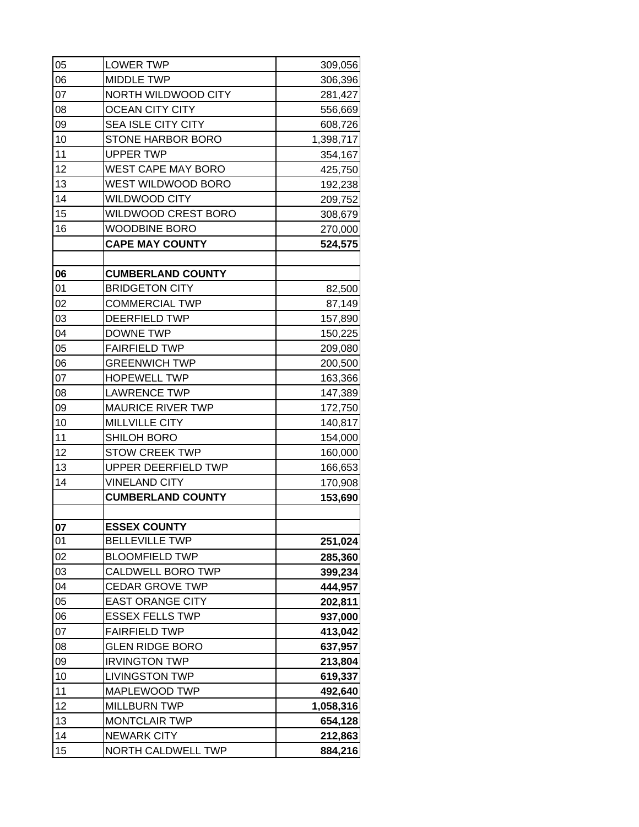| 05 | <b>LOWER TWP</b>           | 309,056   |
|----|----------------------------|-----------|
| 06 | <b>MIDDLE TWP</b>          | 306,396   |
| 07 | NORTH WILDWOOD CITY        | 281,427   |
| 08 | <b>OCEAN CITY CITY</b>     | 556,669   |
| 09 | SEA ISLE CITY CITY         | 608,726   |
| 10 | <b>STONE HARBOR BORO</b>   | 1,398,717 |
| 11 | <b>UPPER TWP</b>           | 354,167   |
| 12 | WEST CAPE MAY BORO         | 425,750   |
| 13 | WEST WILDWOOD BORO         | 192,238   |
| 14 | <b>WILDWOOD CITY</b>       | 209,752   |
| 15 | WILDWOOD CREST BORO        | 308,679   |
| 16 | <b>WOODBINE BORO</b>       | 270,000   |
|    | <b>CAPE MAY COUNTY</b>     | 524,575   |
|    |                            |           |
| 06 | <b>CUMBERLAND COUNTY</b>   |           |
| 01 | <b>BRIDGETON CITY</b>      | 82,500    |
| 02 | <b>COMMERCIAL TWP</b>      | 87,149    |
| 03 | DEERFIELD TWP              | 157,890   |
| 04 | <b>DOWNE TWP</b>           | 150,225   |
| 05 | <b>FAIRFIELD TWP</b>       | 209,080   |
| 06 | <b>GREENWICH TWP</b>       | 200,500   |
| 07 | <b>HOPEWELL TWP</b>        | 163,366   |
| 08 | <b>LAWRENCE TWP</b>        | 147,389   |
| 09 | <b>MAURICE RIVER TWP</b>   | 172,750   |
| 10 | MILLVILLE CITY             | 140,817   |
| 11 | SHILOH BORO                | 154,000   |
| 12 | <b>STOW CREEK TWP</b>      | 160,000   |
| 13 | <b>UPPER DEERFIELD TWP</b> | 166,653   |
| 14 | <b>VINELAND CITY</b>       | 170,908   |
|    | <b>CUMBERLAND COUNTY</b>   | 153,690   |
|    |                            |           |
| 07 | <b>ESSEX COUNTY</b>        |           |
| 01 | <b>BELLEVILLE TWP</b>      | 251,024   |
| 02 | <b>BLOOMFIELD TWP</b>      | 285,360   |
| 03 | CALDWELL BORO TWP          | 399,234   |
| 04 | <b>CEDAR GROVE TWP</b>     | 444,957   |
| 05 | <b>EAST ORANGE CITY</b>    | 202,811   |
| 06 | <b>ESSEX FELLS TWP</b>     | 937,000   |
| 07 | <b>FAIRFIELD TWP</b>       | 413,042   |
| 08 | <b>GLEN RIDGE BORO</b>     | 637,957   |
| 09 | <b>IRVINGTON TWP</b>       | 213,804   |
| 10 | <b>LIVINGSTON TWP</b>      | 619,337   |
| 11 | MAPLEWOOD TWP              | 492,640   |
| 12 | <b>MILLBURN TWP</b>        | 1,058,316 |
| 13 | <b>MONTCLAIR TWP</b>       | 654,128   |
| 14 | <b>NEWARK CITY</b>         | 212,863   |
| 15 | NORTH CALDWELL TWP         | 884,216   |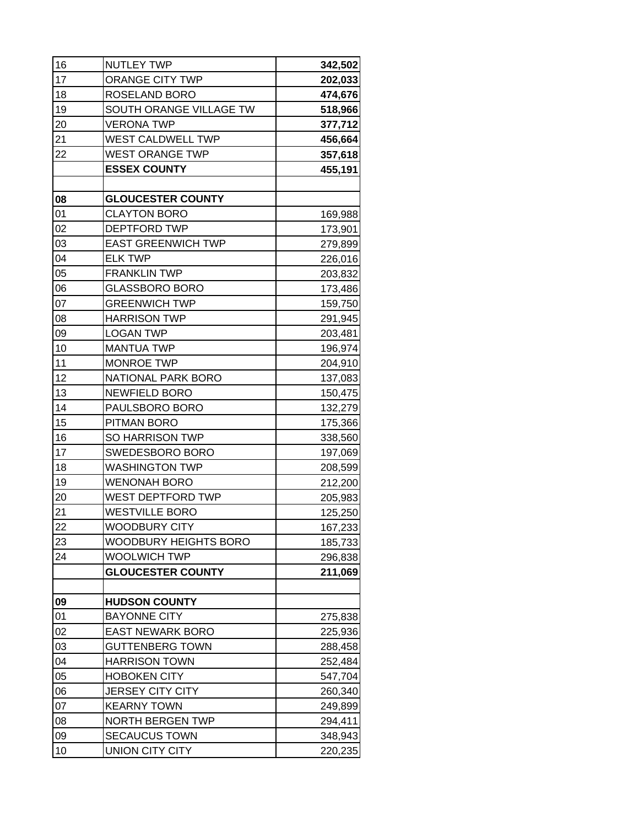| 16 | <b>NUTLEY TWP</b>         | 342,502 |
|----|---------------------------|---------|
| 17 | <b>ORANGE CITY TWP</b>    | 202,033 |
| 18 | ROSELAND BORO             | 474,676 |
| 19 | SOUTH ORANGE VILLAGE TW   | 518,966 |
| 20 | <b>VERONA TWP</b>         | 377,712 |
| 21 | WEST CALDWELL TWP         | 456,664 |
| 22 | <b>WEST ORANGE TWP</b>    | 357,618 |
|    | <b>ESSEX COUNTY</b>       | 455,191 |
|    |                           |         |
| 08 | <b>GLOUCESTER COUNTY</b>  |         |
| 01 | <b>CLAYTON BORO</b>       | 169,988 |
| 02 | <b>DEPTFORD TWP</b>       | 173,901 |
| 03 | <b>EAST GREENWICH TWP</b> | 279,899 |
| 04 | <b>ELK TWP</b>            | 226,016 |
| 05 | <b>FRANKLIN TWP</b>       | 203,832 |
| 06 | <b>GLASSBORO BORO</b>     | 173,486 |
| 07 | <b>GREENWICH TWP</b>      | 159,750 |
| 08 | <b>HARRISON TWP</b>       | 291,945 |
| 09 | <b>LOGAN TWP</b>          | 203,481 |
| 10 | <b>MANTUA TWP</b>         | 196,974 |
| 11 | <b>MONROE TWP</b>         | 204,910 |
| 12 | NATIONAL PARK BORO        | 137,083 |
| 13 | <b>NEWFIELD BORO</b>      | 150,475 |
| 14 | PAULSBORO BORO            | 132,279 |
| 15 | PITMAN BORO               | 175,366 |
| 16 | <b>SO HARRISON TWP</b>    | 338,560 |
| 17 | SWEDESBORO BORO           | 197,069 |
| 18 | <b>WASHINGTON TWP</b>     | 208,599 |
| 19 | <b>WENONAH BORO</b>       | 212,200 |
| 20 | WEST DEPTFORD TWP         | 205,983 |
| 21 | <b>WESTVILLE BORO</b>     | 125,250 |
| 22 | WOODBURY CITY             | 167,233 |
| 23 | WOODBURY HEIGHTS BORO     | 185,733 |
| 24 | WOOLWICH TWP              | 296,838 |
|    | <b>GLOUCESTER COUNTY</b>  | 211,069 |
|    |                           |         |
| 09 | <b>HUDSON COUNTY</b>      |         |
| 01 | <b>BAYONNE CITY</b>       | 275,838 |
| 02 | <b>EAST NEWARK BORO</b>   | 225,936 |
| 03 | <b>GUTTENBERG TOWN</b>    | 288,458 |
| 04 | <b>HARRISON TOWN</b>      | 252,484 |
| 05 | <b>HOBOKEN CITY</b>       | 547,704 |
| 06 | JERSEY CITY CITY          | 260,340 |
| 07 | <b>KEARNY TOWN</b>        | 249,899 |
| 08 | <b>NORTH BERGEN TWP</b>   | 294,411 |
| 09 | SECAUCUS TOWN             | 348,943 |
| 10 | UNION CITY CITY           | 220,235 |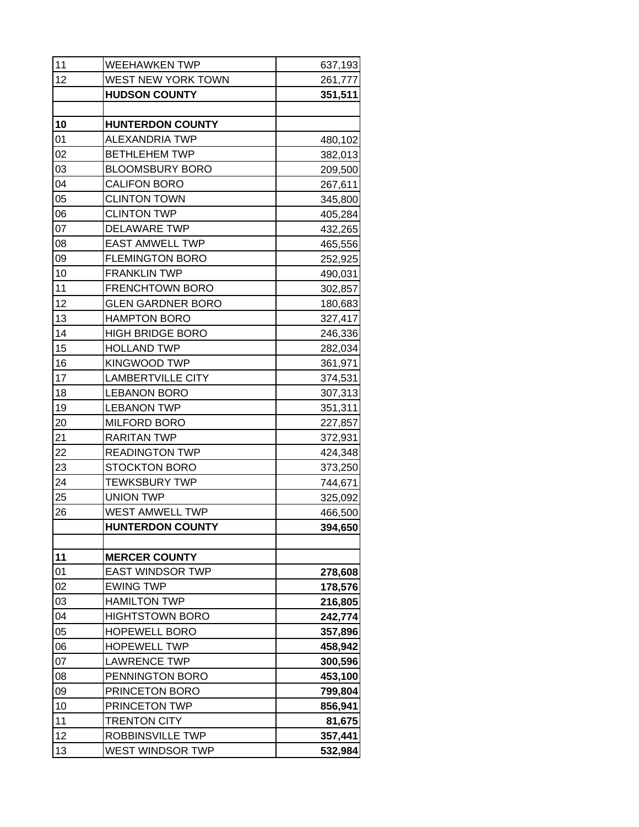| 11 | WEEHAWKEN TWP            | 637,193 |
|----|--------------------------|---------|
| 12 | WEST NEW YORK TOWN       | 261,777 |
|    | <b>HUDSON COUNTY</b>     | 351,511 |
|    |                          |         |
| 10 | <b>HUNTERDON COUNTY</b>  |         |
| 01 | ALEXANDRIA TWP           | 480,102 |
| 02 | <b>BETHLEHEM TWP</b>     | 382,013 |
| 03 | <b>BLOOMSBURY BORO</b>   | 209,500 |
| 04 | <b>CALIFON BORO</b>      | 267,611 |
| 05 | <b>CLINTON TOWN</b>      | 345,800 |
| 06 | <b>CLINTON TWP</b>       | 405,284 |
| 07 | <b>DELAWARE TWP</b>      | 432,265 |
| 08 | <b>EAST AMWELL TWP</b>   | 465,556 |
| 09 | <b>FLEMINGTON BORO</b>   | 252,925 |
| 10 | <b>FRANKLIN TWP</b>      | 490,031 |
| 11 | <b>FRENCHTOWN BORO</b>   | 302,857 |
| 12 | <b>GLEN GARDNER BORO</b> | 180,683 |
| 13 | <b>HAMPTON BORO</b>      | 327,417 |
| 14 | <b>HIGH BRIDGE BORO</b>  | 246,336 |
| 15 | <b>HOLLAND TWP</b>       | 282,034 |
| 16 | <b>KINGWOOD TWP</b>      | 361,971 |
| 17 | <b>LAMBERTVILLE CITY</b> | 374,531 |
| 18 | <b>LEBANON BORO</b>      | 307,313 |
| 19 | <b>LEBANON TWP</b>       | 351,311 |
| 20 | <b>MILFORD BORO</b>      | 227,857 |
| 21 | <b>RARITAN TWP</b>       | 372,931 |
| 22 | <b>READINGTON TWP</b>    | 424,348 |
| 23 | <b>STOCKTON BORO</b>     | 373,250 |
| 24 | <b>TEWKSBURY TWP</b>     | 744,671 |
| 25 | <b>UNION TWP</b>         | 325,092 |
| 26 | WEST AMWELL TWP          | 466,500 |
|    | <b>HUNTERDON COUNTY</b>  | 394,650 |
|    |                          |         |
| 11 | <b>MERCER COUNTY</b>     |         |
| 01 | <b>EAST WINDSOR TWP</b>  | 278,608 |
| 02 | <b>EWING TWP</b>         | 178,576 |
| 03 | <b>HAMILTON TWP</b>      | 216,805 |
| 04 | <b>HIGHTSTOWN BORO</b>   | 242,774 |
| 05 | <b>HOPEWELL BORO</b>     | 357,896 |
| 06 | <b>HOPEWELL TWP</b>      | 458,942 |
| 07 | <b>LAWRENCE TWP</b>      | 300,596 |
| 08 | PENNINGTON BORO          | 453,100 |
| 09 | PRINCETON BORO           | 799,804 |
| 10 | PRINCETON TWP            | 856,941 |
| 11 | <b>TRENTON CITY</b>      | 81,675  |
| 12 | ROBBINSVILLE TWP         | 357,441 |
| 13 | WEST WINDSOR TWP         | 532,984 |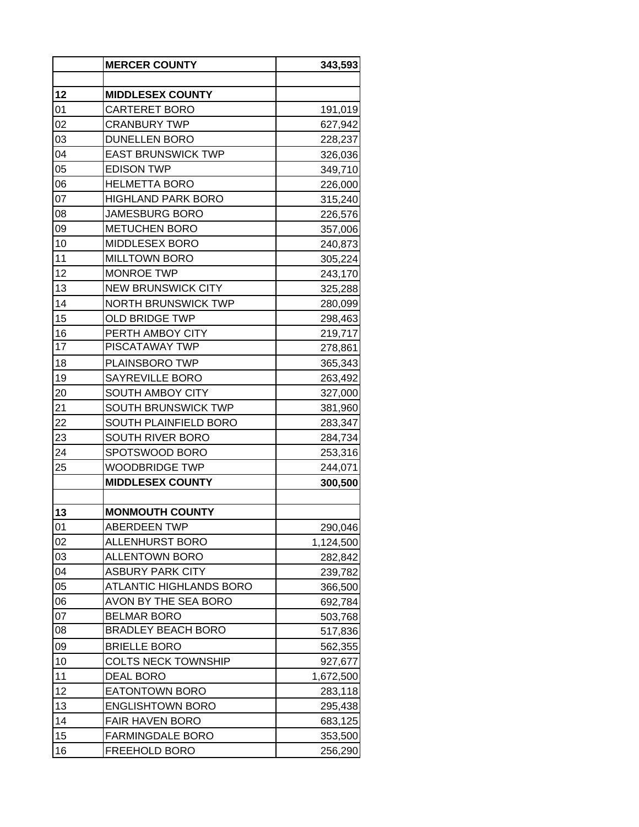|    | <b>MERCER COUNTY</b>       | 343,593   |
|----|----------------------------|-----------|
|    |                            |           |
| 12 | <b>MIDDLESEX COUNTY</b>    |           |
| 01 | CARTERET BORO              | 191,019   |
| 02 | <b>CRANBURY TWP</b>        | 627,942   |
| 03 | <b>DUNELLEN BORO</b>       | 228,237   |
| 04 | <b>EAST BRUNSWICK TWP</b>  | 326,036   |
| 05 | <b>EDISON TWP</b>          | 349,710   |
| 06 | <b>HELMETTA BORO</b>       | 226,000   |
| 07 | <b>HIGHLAND PARK BORO</b>  | 315,240   |
| 08 | <b>JAMESBURG BORO</b>      | 226,576   |
| 09 | <b>METUCHEN BORO</b>       | 357,006   |
| 10 | MIDDLESEX BORO             | 240,873   |
| 11 | <b>MILLTOWN BORO</b>       | 305,224   |
| 12 | <b>MONROE TWP</b>          | 243,170   |
| 13 | <b>NEW BRUNSWICK CITY</b>  | 325,288   |
| 14 | <b>NORTH BRUNSWICK TWP</b> | 280,099   |
| 15 | <b>OLD BRIDGE TWP</b>      | 298,463   |
| 16 | PERTH AMBOY CITY           | 219,717   |
| 17 | PISCATAWAY TWP             | 278,861   |
| 18 | PLAINSBORO TWP             | 365,343   |
| 19 | SAYREVILLE BORO            | 263,492   |
| 20 | <b>SOUTH AMBOY CITY</b>    | 327,000   |
| 21 | <b>SOUTH BRUNSWICK TWP</b> | 381,960   |
| 22 | SOUTH PLAINFIELD BORO      | 283,347   |
| 23 | SOUTH RIVER BORO           | 284,734   |
| 24 | SPOTSWOOD BORO             | 253,316   |
| 25 | WOODBRIDGE TWP             | 244,071   |
|    | <b>MIDDLESEX COUNTY</b>    | 300,500   |
|    |                            |           |
| 13 | <b>MONMOUTH COUNTY</b>     |           |
| 01 | <b>ABERDEEN TWP</b>        | 290,046   |
| 02 | ALLENHURST BORO            | 1,124,500 |
| 03 | <b>ALLENTOWN BORO</b>      | 282,842   |
| 04 | ASBURY PARK CITY           | 239,782   |
| 05 | ATLANTIC HIGHLANDS BORO    | 366,500   |
| 06 | AVON BY THE SEA BORO       | 692,784   |
| 07 | <b>BELMAR BORO</b>         | 503,768   |
| 08 | <b>BRADLEY BEACH BORO</b>  | 517,836   |
| 09 | <b>BRIELLE BORO</b>        | 562,355   |
| 10 | <b>COLTS NECK TOWNSHIP</b> | 927,677   |
| 11 | <b>DEAL BORO</b>           | 1,672,500 |
| 12 | <b>EATONTOWN BORO</b>      |           |
| 13 | <b>ENGLISHTOWN BORO</b>    | 283,118   |
|    |                            | 295,438   |
| 14 | FAIR HAVEN BORO            | 683,125   |
| 15 | <b>FARMINGDALE BORO</b>    | 353,500   |
| 16 | FREEHOLD BORO              | 256,290   |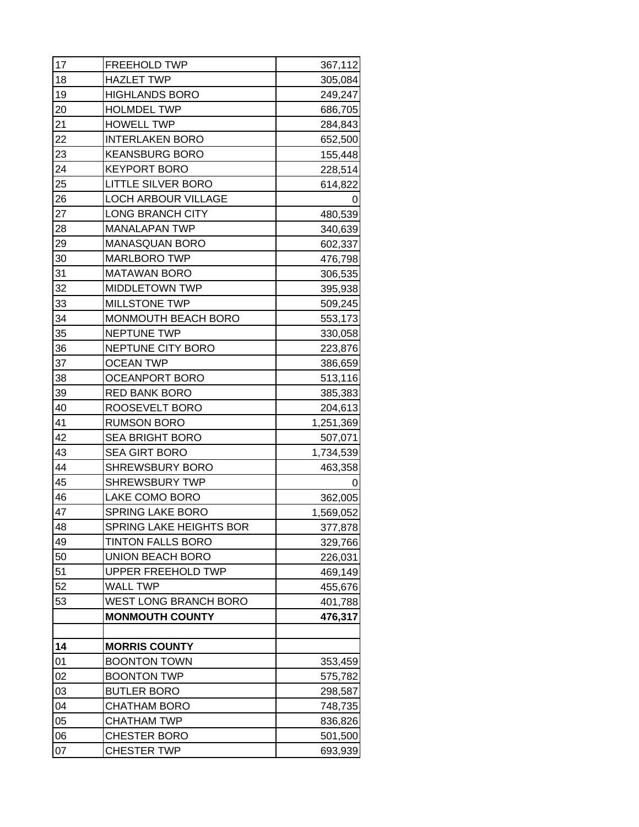| 17 | FREEHOLD TWP                 | 367,112   |
|----|------------------------------|-----------|
| 18 | <b>HAZLET TWP</b>            | 305,084   |
| 19 | <b>HIGHLANDS BORO</b>        | 249,247   |
| 20 | <b>HOLMDEL TWP</b>           | 686,705   |
| 21 | <b>HOWELL TWP</b>            | 284,843   |
| 22 | <b>INTERLAKEN BORO</b>       | 652,500   |
| 23 | <b>KEANSBURG BORO</b>        | 155,448   |
| 24 | <b>KEYPORT BORO</b>          | 228,514   |
| 25 | <b>LITTLE SILVER BORO</b>    | 614,822   |
| 26 | <b>LOCH ARBOUR VILLAGE</b>   | O         |
| 27 | <b>LONG BRANCH CITY</b>      | 480,539   |
| 28 | <b>MANALAPAN TWP</b>         | 340,639   |
| 29 | <b>MANASQUAN BORO</b>        | 602,337   |
| 30 | <b>MARLBORO TWP</b>          | 476,798   |
| 31 | <b>MATAWAN BORO</b>          | 306,535   |
| 32 | <b>MIDDLETOWN TWP</b>        | 395,938   |
| 33 | MILLSTONE TWP                | 509,245   |
| 34 | MONMOUTH BEACH BORO          | 553,173   |
| 35 | <b>NEPTUNE TWP</b>           | 330,058   |
| 36 | NEPTUNE CITY BORO            | 223,876   |
| 37 | <b>OCEAN TWP</b>             | 386,659   |
| 38 | <b>OCEANPORT BORO</b>        | 513,116   |
| 39 | <b>RED BANK BORO</b>         | 385,383   |
| 40 | ROOSEVELT BORO               | 204,613   |
| 41 | <b>RUMSON BORO</b>           | 1,251,369 |
| 42 | <b>SEA BRIGHT BORO</b>       | 507,071   |
| 43 | <b>SEA GIRT BORO</b>         | 1,734,539 |
| 44 | <b>SHREWSBURY BORO</b>       | 463,358   |
| 45 | <b>SHREWSBURY TWP</b>        | 0         |
| 46 | LAKE COMO BORO               | 362,005   |
| 47 | SPRING LAKE BORO             | 1,569,052 |
| 48 | SPRING LAKE HEIGHTS BOR      | 377,878   |
| 49 | <b>TINTON FALLS BORO</b>     | 329,766   |
| 50 | <b>UNION BEACH BORO</b>      | 226,031   |
| 51 | UPPER FREEHOLD TWP           | 469,149   |
| 52 | <b>WALL TWP</b>              | 455,676   |
| 53 | <b>WEST LONG BRANCH BORO</b> | 401,788   |
|    | <b>MONMOUTH COUNTY</b>       | 476,317   |
|    |                              |           |
| 14 | <b>MORRIS COUNTY</b>         |           |
| 01 | <b>BOONTON TOWN</b>          | 353,459   |
| 02 | <b>BOONTON TWP</b>           | 575,782   |
| 03 | <b>BUTLER BORO</b>           | 298,587   |
| 04 | <b>CHATHAM BORO</b>          | 748,735   |
| 05 | <b>CHATHAM TWP</b>           | 836,826   |
| 06 | <b>CHESTER BORO</b>          | 501,500   |
| 07 | <b>CHESTER TWP</b>           | 693,939   |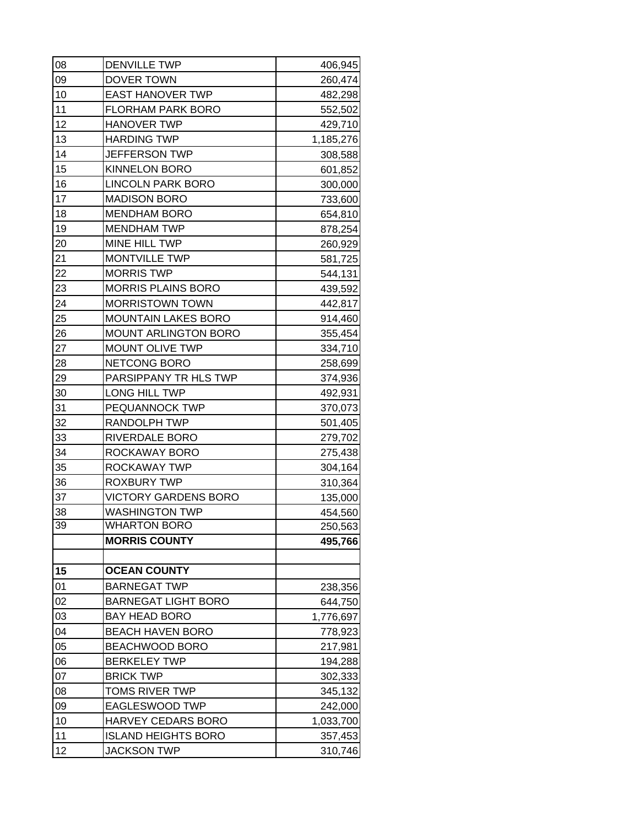| 08 | <b>DENVILLE TWP</b>         | 406,945   |
|----|-----------------------------|-----------|
| 09 | DOVER TOWN                  | 260,474   |
| 10 | <b>EAST HANOVER TWP</b>     | 482,298   |
| 11 | <b>FLORHAM PARK BORO</b>    | 552,502   |
| 12 | <b>HANOVER TWP</b>          | 429,710   |
| 13 | <b>HARDING TWP</b>          | 1,185,276 |
| 14 | <b>JEFFERSON TWP</b>        | 308,588   |
| 15 | <b>KINNELON BORO</b>        | 601,852   |
| 16 | <b>LINCOLN PARK BORO</b>    | 300,000   |
| 17 | <b>MADISON BORO</b>         | 733,600   |
| 18 | <b>MENDHAM BORO</b>         | 654,810   |
| 19 | <b>MENDHAM TWP</b>          | 878,254   |
| 20 | MINE HILL TWP               | 260,929   |
| 21 | <b>MONTVILLE TWP</b>        | 581,725   |
| 22 | <b>MORRIS TWP</b>           | 544,131   |
| 23 | <b>MORRIS PLAINS BORO</b>   | 439,592   |
| 24 | <b>MORRISTOWN TOWN</b>      | 442,817   |
| 25 | <b>MOUNTAIN LAKES BORO</b>  | 914,460   |
| 26 | <b>MOUNT ARLINGTON BORO</b> | 355,454   |
| 27 | <b>MOUNT OLIVE TWP</b>      | 334,710   |
| 28 | NETCONG BORO                | 258,699   |
| 29 | PARSIPPANY TR HLS TWP       | 374,936   |
| 30 | LONG HILL TWP               | 492,931   |
| 31 | PEQUANNOCK TWP              | 370,073   |
| 32 | RANDOLPH TWP                | 501,405   |
| 33 | RIVERDALE BORO              | 279,702   |
| 34 | ROCKAWAY BORO               | 275,438   |
| 35 | ROCKAWAY TWP                | 304,164   |
| 36 | <b>ROXBURY TWP</b>          | 310,364   |
| 37 | <b>VICTORY GARDENS BORO</b> | 135,000   |
| 38 | <b>WASHINGTON TWP</b>       | 454,560   |
| 39 | <b>WHARTON BORO</b>         | 250,563   |
|    | <b>MORRIS COUNTY</b>        | 495,766   |
| 15 | <b>OCEAN COUNTY</b>         |           |
| 01 | <b>BARNEGAT TWP</b>         | 238,356   |
| 02 | <b>BARNEGAT LIGHT BORO</b>  | 644,750   |
| 03 | <b>BAY HEAD BORO</b>        | 1,776,697 |
| 04 | <b>BEACH HAVEN BORO</b>     | 778,923   |
| 05 | <b>BEACHWOOD BORO</b>       | 217,981   |
| 06 | <b>BERKELEY TWP</b>         | 194,288   |
| 07 | <b>BRICK TWP</b>            | 302,333   |
| 08 | TOMS RIVER TWP              | 345,132   |
| 09 | EAGLESWOOD TWP              | 242,000   |
| 10 | HARVEY CEDARS BORO          | 1,033,700 |
| 11 | <b>ISLAND HEIGHTS BORO</b>  | 357,453   |
| 12 | <b>JACKSON TWP</b>          | 310,746   |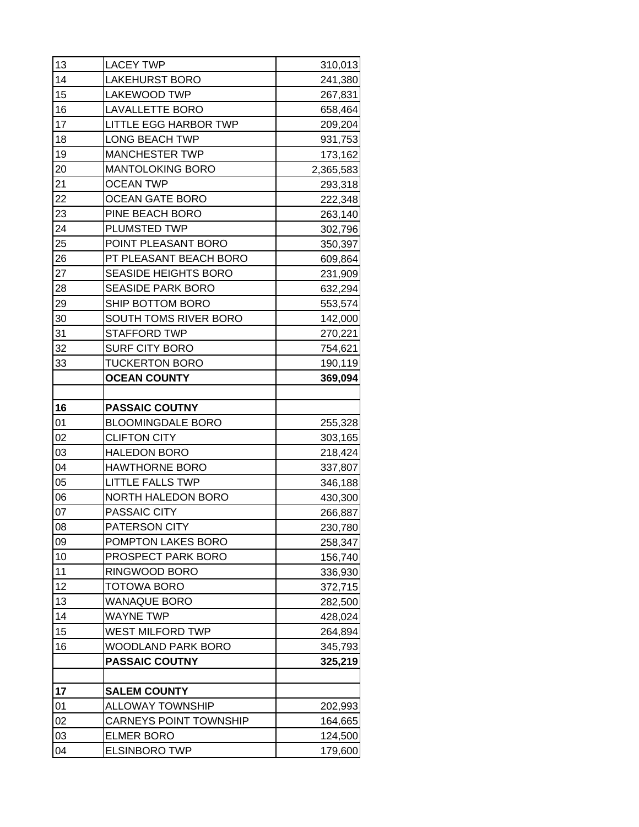| 13 | <b>LACEY TWP</b>              | 310,013   |
|----|-------------------------------|-----------|
| 14 | <b>LAKEHURST BORO</b>         | 241,380   |
| 15 | <b>LAKEWOOD TWP</b>           | 267,831   |
| 16 | <b>LAVALLETTE BORO</b>        | 658,464   |
| 17 | <b>LITTLE EGG HARBOR TWP</b>  | 209,204   |
| 18 | <b>LONG BEACH TWP</b>         | 931,753   |
| 19 | <b>MANCHESTER TWP</b>         | 173,162   |
| 20 | <b>MANTOLOKING BORO</b>       | 2,365,583 |
| 21 | <b>OCEAN TWP</b>              | 293,318   |
| 22 | <b>OCEAN GATE BORO</b>        | 222,348   |
| 23 | PINE BEACH BORO               | 263,140   |
| 24 | PLUMSTED TWP                  | 302,796   |
| 25 | POINT PLEASANT BORO           | 350,397   |
| 26 | PT PLEASANT BEACH BORO        | 609,864   |
| 27 | <b>SEASIDE HEIGHTS BORO</b>   | 231,909   |
| 28 | <b>SEASIDE PARK BORO</b>      | 632,294   |
| 29 | SHIP BOTTOM BORO              | 553,574   |
| 30 | SOUTH TOMS RIVER BORO         | 142,000   |
| 31 | <b>STAFFORD TWP</b>           | 270,221   |
| 32 | <b>SURF CITY BORO</b>         | 754,621   |
| 33 | <b>TUCKERTON BORO</b>         | 190,119   |
|    | <b>OCEAN COUNTY</b>           | 369,094   |
|    |                               |           |
| 16 | <b>PASSAIC COUTNY</b>         |           |
| 01 | <b>BLOOMINGDALE BORO</b>      | 255,328   |
| 02 | <b>CLIFTON CITY</b>           | 303,165   |
| 03 | <b>HALEDON BORO</b>           | 218,424   |
| 04 | <b>HAWTHORNE BORO</b>         | 337,807   |
| 05 | <b>LITTLE FALLS TWP</b>       | 346,188   |
| 06 | <b>NORTH HALEDON BORO</b>     | 430,300   |
| 07 | PASSAIC CITY                  | 266,887   |
| 08 | PATERSON CITY                 | 230,780   |
| 09 | POMPTON LAKES BORO            | 258,347   |
| 10 | PROSPECT PARK BORO            | 156,740   |
| 11 | RINGWOOD BORO                 | 336,930   |
| 12 | TOTOWA BORO                   | 372,715   |
| 13 | <b>WANAQUE BORO</b>           | 282,500   |
| 14 | <b>WAYNE TWP</b>              | 428,024   |
| 15 | <b>WEST MILFORD TWP</b>       | 264,894   |
| 16 | WOODLAND PARK BORO            | 345,793   |
|    | <b>PASSAIC COUTNY</b>         | 325,219   |
|    |                               |           |
| 17 | <b>SALEM COUNTY</b>           |           |
| 01 | <b>ALLOWAY TOWNSHIP</b>       | 202,993   |
| 02 | <b>CARNEYS POINT TOWNSHIP</b> | 164,665   |
| 03 | <b>ELMER BORO</b>             | 124,500   |
| 04 | <b>ELSINBORO TWP</b>          | 179,600   |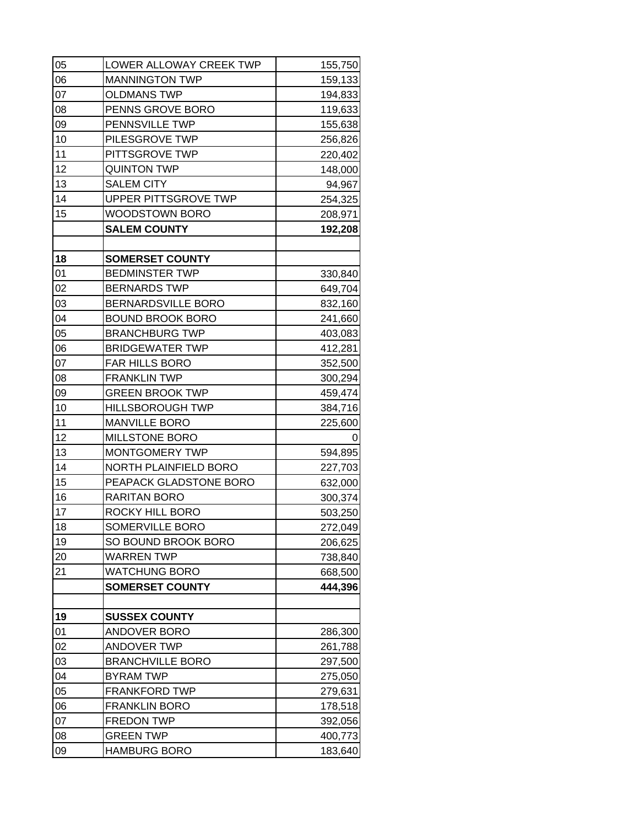| 05 | LOWER ALLOWAY CREEK TWP     | 155,750 |
|----|-----------------------------|---------|
| 06 | <b>MANNINGTON TWP</b>       | 159,133 |
| 07 | <b>OLDMANS TWP</b>          | 194,833 |
| 08 | PENNS GROVE BORO            | 119,633 |
| 09 | PENNSVILLE TWP              | 155,638 |
| 10 | PILESGROVE TWP              | 256,826 |
| 11 | PITTSGROVE TWP              | 220,402 |
| 12 | <b>QUINTON TWP</b>          | 148,000 |
| 13 | <b>SALEM CITY</b>           | 94,967  |
| 14 | <b>UPPER PITTSGROVE TWP</b> | 254,325 |
| 15 | <b>WOODSTOWN BORO</b>       | 208,971 |
|    | <b>SALEM COUNTY</b>         | 192,208 |
|    |                             |         |
| 18 | <b>SOMERSET COUNTY</b>      |         |
| 01 | <b>BEDMINSTER TWP</b>       | 330,840 |
| 02 | <b>BERNARDS TWP</b>         | 649,704 |
| 03 | <b>BERNARDSVILLE BORO</b>   | 832,160 |
| 04 | <b>BOUND BROOK BORO</b>     | 241,660 |
| 05 | <b>BRANCHBURG TWP</b>       | 403,083 |
| 06 | <b>BRIDGEWATER TWP</b>      | 412,281 |
| 07 | <b>FAR HILLS BORO</b>       | 352,500 |
| 08 | <b>FRANKLIN TWP</b>         | 300,294 |
| 09 | <b>GREEN BROOK TWP</b>      | 459,474 |
| 10 | <b>HILLSBOROUGH TWP</b>     | 384,716 |
| 11 | <b>MANVILLE BORO</b>        | 225,600 |
| 12 | <b>MILLSTONE BORO</b>       | O       |
| 13 | MONTGOMERY TWP              | 594,895 |
| 14 | NORTH PLAINFIELD BORO       | 227,703 |
| 15 | PEAPACK GLADSTONE BORO      | 632,000 |
| 16 | <b>RARITAN BORO</b>         | 300,374 |
| 17 | ROCKY HILL BORO             | 503,250 |
| 18 | SOMERVILLE BORO             | 272,049 |
| 19 | SO BOUND BROOK BORO         | 206,625 |
| 20 | <b>WARREN TWP</b>           | 738,840 |
| 21 | <b>WATCHUNG BORO</b>        | 668,500 |
|    | <b>SOMERSET COUNTY</b>      | 444,396 |
|    |                             |         |
| 19 | <b>SUSSEX COUNTY</b>        |         |
| 01 | <b>ANDOVER BORO</b>         | 286,300 |
| 02 | <b>ANDOVER TWP</b>          | 261,788 |
| 03 | <b>BRANCHVILLE BORO</b>     | 297,500 |
| 04 | <b>BYRAM TWP</b>            | 275,050 |
| 05 | <b>FRANKFORD TWP</b>        | 279,631 |
| 06 | <b>FRANKLIN BORO</b>        | 178,518 |
| 07 | <b>FREDON TWP</b>           | 392,056 |
| 08 | <b>GREEN TWP</b>            | 400,773 |
| 09 | <b>HAMBURG BORO</b>         | 183,640 |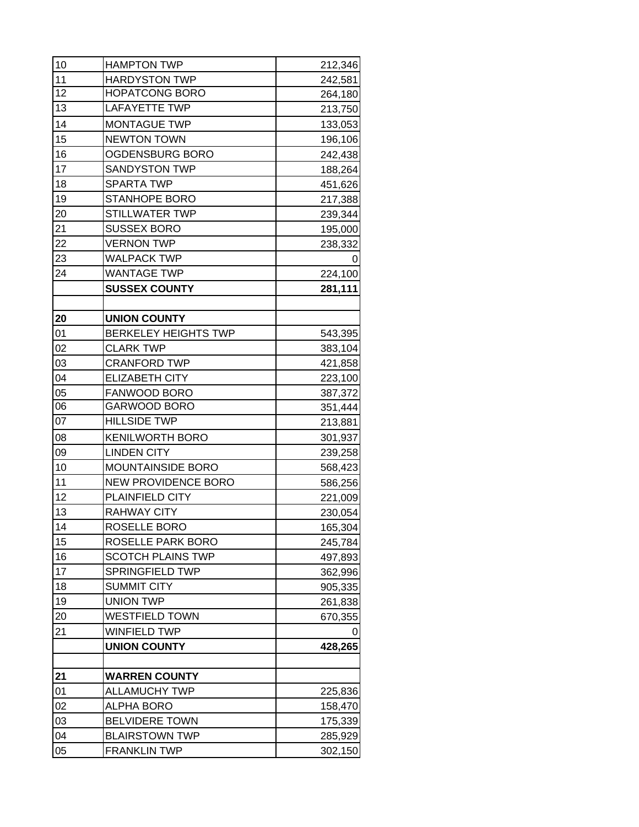| 10 | <b>HAMPTON TWP</b>          | 212,346 |
|----|-----------------------------|---------|
| 11 | <b>HARDYSTON TWP</b>        | 242,581 |
| 12 | <b>HOPATCONG BORO</b>       | 264,180 |
| 13 | <b>LAFAYETTE TWP</b>        | 213,750 |
| 14 | <b>MONTAGUE TWP</b>         | 133,053 |
| 15 | <b>NEWTON TOWN</b>          | 196,106 |
| 16 | OGDENSBURG BORO             | 242,438 |
| 17 | <b>SANDYSTON TWP</b>        | 188,264 |
| 18 | <b>SPARTA TWP</b>           | 451,626 |
| 19 | <b>STANHOPE BORO</b>        | 217,388 |
| 20 | <b>STILLWATER TWP</b>       | 239,344 |
| 21 | <b>SUSSEX BORO</b>          | 195,000 |
| 22 | <b>VERNON TWP</b>           | 238,332 |
| 23 | <b>WALPACK TWP</b>          | 0       |
| 24 | <b>WANTAGE TWP</b>          | 224,100 |
|    | <b>SUSSEX COUNTY</b>        | 281,111 |
|    |                             |         |
| 20 | <b>UNION COUNTY</b>         |         |
| 01 | <b>BERKELEY HEIGHTS TWP</b> | 543,395 |
| 02 | <b>CLARK TWP</b>            | 383,104 |
| 03 | <b>CRANFORD TWP</b>         | 421,858 |
| 04 | <b>ELIZABETH CITY</b>       | 223,100 |
| 05 | FANWOOD BORO                | 387,372 |
| 06 | GARWOOD BORO                | 351,444 |
| 07 | <b>HILLSIDE TWP</b>         | 213,881 |
| 08 | <b>KENILWORTH BORO</b>      | 301,937 |
| 09 | <b>LINDEN CITY</b>          | 239,258 |
| 10 | <b>MOUNTAINSIDE BORO</b>    | 568,423 |
| 11 | <b>NEW PROVIDENCE BORO</b>  | 586,256 |
| 12 | PLAINFIELD CITY             | 221,009 |
| 13 | RAHWAY CITY                 | 230,054 |
| 14 | ROSELLE BORO                | 165,304 |
| 15 | ROSELLE PARK BORO           | 245,784 |
| 16 | <b>SCOTCH PLAINS TWP</b>    | 497,893 |
| 17 | <b>SPRINGFIELD TWP</b>      | 362,996 |
| 18 | <b>SUMMIT CITY</b>          | 905,335 |
| 19 | <b>UNION TWP</b>            | 261,838 |
| 20 | WESTFIELD TOWN              | 670,355 |
| 21 | <b>WINFIELD TWP</b>         | O       |
|    | <b>UNION COUNTY</b>         | 428,265 |
|    |                             |         |
| 21 | <b>WARREN COUNTY</b>        |         |
| 01 | <b>ALLAMUCHY TWP</b>        | 225,836 |
| 02 | <b>ALPHA BORO</b>           | 158,470 |
| 03 | <b>BELVIDERE TOWN</b>       | 175,339 |
| 04 | <b>BLAIRSTOWN TWP</b>       | 285,929 |
| 05 | <b>FRANKLIN TWP</b>         | 302,150 |